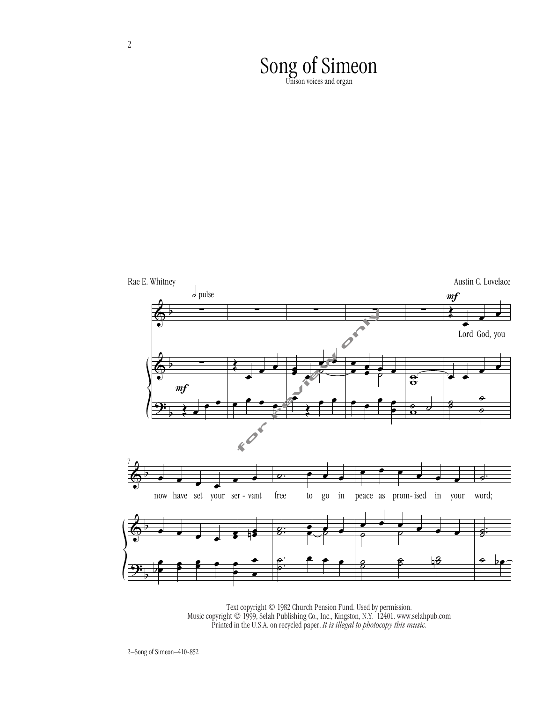Song of Simeon<br>Unison voices and organ



Text copyright © 1982 Church Pension Fund. Used by permission. Music copyright © 1999, Selah Publishing Co., Inc., Kingston, N.Y. 12401. www.selahpub.com Printed in the U.S.A. on recycled paper. *It is illegal to photocopy this music.*

2–Song of Simeon–410-852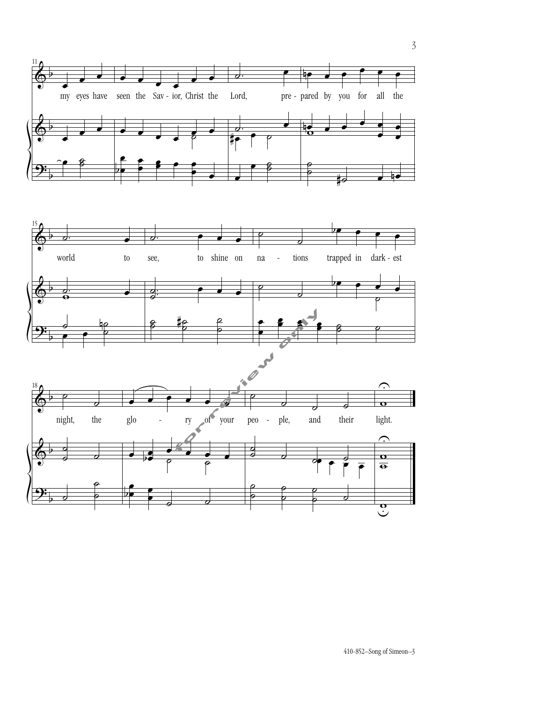